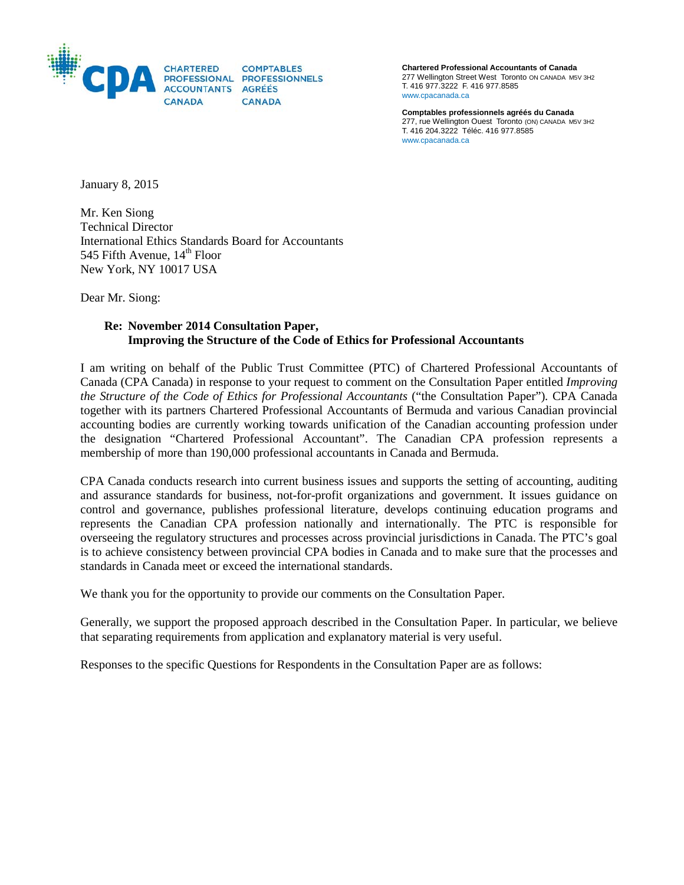

**Chartered Professional Accountants of Canada** 277 Wellington Street West Toronto ON CANADA M5V 3H2 T. 416 977.3222 F. 416 977.8585 www.cpacanada.ca

**Comptables professionnels agréés du Canada** 277, rue Wellington Ouest Toronto (ON) CANADA M5V 3H2 T. 416 204.3222 Téléc. 416 977.8585 [www.cpacanada.ca](http://www.cpacanada.ca/)

January 8, 2015

Mr. Ken Siong Technical Director International Ethics Standards Board for Accountants 545 Fifth Avenue,  $14<sup>th</sup>$  Floor New York, NY 10017 USA

Dear Mr. Siong:

## **Re: November 2014 Consultation Paper, Improving the Structure of the Code of Ethics for Professional Accountants**

I am writing on behalf of the Public Trust Committee (PTC) of Chartered Professional Accountants of Canada (CPA Canada) in response to your request to comment on the Consultation Paper entitled *Improving the Structure of the Code of Ethics for Professional Accountants* ("the Consultation Paper")*.* CPA Canada together with its partners Chartered Professional Accountants of Bermuda and various Canadian provincial accounting bodies are currently working towards unification of the Canadian accounting profession under the designation "Chartered Professional Accountant". The Canadian CPA profession represents a membership of more than 190,000 professional accountants in Canada and Bermuda.

CPA Canada conducts research into current business issues and supports the setting of accounting, auditing and assurance standards for business, not-for-profit organizations and government. It issues guidance on control and governance, publishes professional literature, develops continuing education programs and represents the Canadian CPA profession nationally and internationally. The PTC is responsible for overseeing the regulatory structures and processes across provincial jurisdictions in Canada. The PTC's goal is to achieve consistency between provincial CPA bodies in Canada and to make sure that the processes and standards in Canada meet or exceed the international standards.

We thank you for the opportunity to provide our comments on the Consultation Paper.

Generally, we support the proposed approach described in the Consultation Paper. In particular, we believe that separating requirements from application and explanatory material is very useful.

Responses to the specific Questions for Respondents in the Consultation Paper are as follows: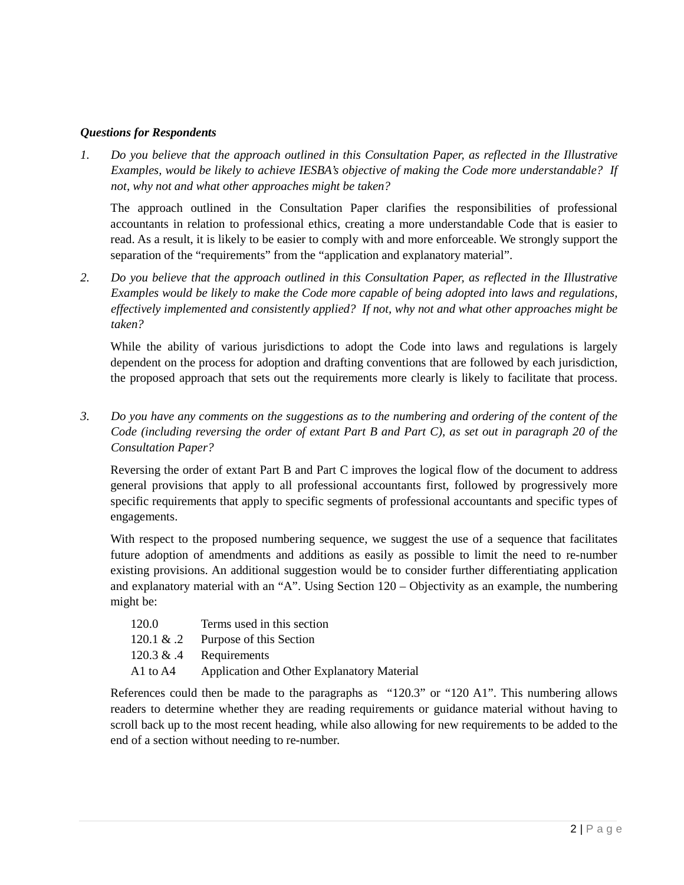## *Questions for Respondents*

*1. Do you believe that the approach outlined in this Consultation Paper, as reflected in the Illustrative Examples, would be likely to achieve IESBA's objective of making the Code more understandable? If not, why not and what other approaches might be taken?*

The approach outlined in the Consultation Paper clarifies the responsibilities of professional accountants in relation to professional ethics, creating a more understandable Code that is easier to read. As a result, it is likely to be easier to comply with and more enforceable. We strongly support the separation of the "requirements" from the "application and explanatory material".

*2. Do you believe that the approach outlined in this Consultation Paper, as reflected in the Illustrative Examples would be likely to make the Code more capable of being adopted into laws and regulations, effectively implemented and consistently applied? If not, why not and what other approaches might be taken?*

While the ability of various jurisdictions to adopt the Code into laws and regulations is largely dependent on the process for adoption and drafting conventions that are followed by each jurisdiction, the proposed approach that sets out the requirements more clearly is likely to facilitate that process.

*3. Do you have any comments on the suggestions as to the numbering and ordering of the content of the Code (including reversing the order of extant Part B and Part C), as set out in paragraph 20 of the Consultation Paper?*

Reversing the order of extant Part B and Part C improves the logical flow of the document to address general provisions that apply to all professional accountants first, followed by progressively more specific requirements that apply to specific segments of professional accountants and specific types of engagements.

With respect to the proposed numbering sequence, we suggest the use of a sequence that facilitates future adoption of amendments and additions as easily as possible to limit the need to re-number existing provisions. An additional suggestion would be to consider further differentiating application and explanatory material with an "A". Using Section 120 – Objectivity as an example, the numbering might be:

| 120.0        | Terms used in this section                 |
|--------------|--------------------------------------------|
| 120.1 & $.2$ | Purpose of this Section                    |
| 120.3 & $.4$ | Requirements                               |
| A1 to A4     | Application and Other Explanatory Material |

References could then be made to the paragraphs as "120.3" or "120 A1". This numbering allows readers to determine whether they are reading requirements or guidance material without having to scroll back up to the most recent heading, while also allowing for new requirements to be added to the end of a section without needing to re-number.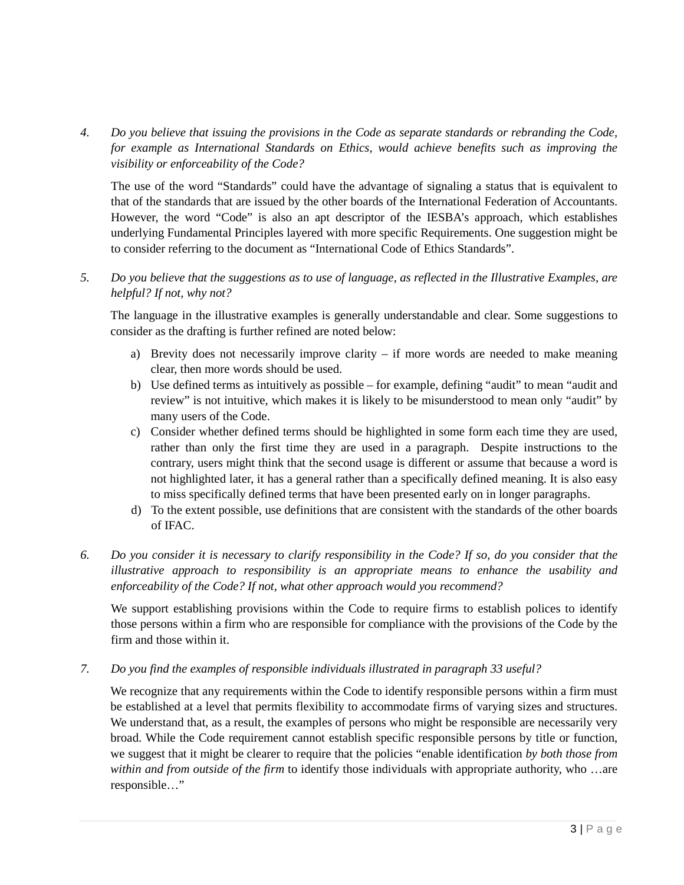*4. Do you believe that issuing the provisions in the Code as separate standards or rebranding the Code, for example as International Standards on Ethics, would achieve benefits such as improving the visibility or enforceability of the Code?*

The use of the word "Standards" could have the advantage of signaling a status that is equivalent to that of the standards that are issued by the other boards of the International Federation of Accountants. However, the word "Code" is also an apt descriptor of the IESBA's approach, which establishes underlying Fundamental Principles layered with more specific Requirements. One suggestion might be to consider referring to the document as "International Code of Ethics Standards".

*5. Do you believe that the suggestions as to use of language, as reflected in the Illustrative Examples, are helpful? If not, why not?*

The language in the illustrative examples is generally understandable and clear. Some suggestions to consider as the drafting is further refined are noted below:

- a) Brevity does not necessarily improve clarity if more words are needed to make meaning clear, then more words should be used.
- b) Use defined terms as intuitively as possible for example, defining "audit" to mean "audit and review" is not intuitive, which makes it is likely to be misunderstood to mean only "audit" by many users of the Code.
- c) Consider whether defined terms should be highlighted in some form each time they are used, rather than only the first time they are used in a paragraph. Despite instructions to the contrary, users might think that the second usage is different or assume that because a word is not highlighted later, it has a general rather than a specifically defined meaning. It is also easy to miss specifically defined terms that have been presented early on in longer paragraphs.
- d) To the extent possible, use definitions that are consistent with the standards of the other boards of IFAC.
- *6. Do you consider it is necessary to clarify responsibility in the Code? If so, do you consider that the illustrative approach to responsibility is an appropriate means to enhance the usability and enforceability of the Code? If not, what other approach would you recommend?*

We support establishing provisions within the Code to require firms to establish polices to identify those persons within a firm who are responsible for compliance with the provisions of the Code by the firm and those within it.

*7. Do you find the examples of responsible individuals illustrated in paragraph 33 useful?*

We recognize that any requirements within the Code to identify responsible persons within a firm must be established at a level that permits flexibility to accommodate firms of varying sizes and structures. We understand that, as a result, the examples of persons who might be responsible are necessarily very broad. While the Code requirement cannot establish specific responsible persons by title or function, we suggest that it might be clearer to require that the policies "enable identification *by both those from within and from outside of the firm* to identify those individuals with appropriate authority, who …are responsible…"